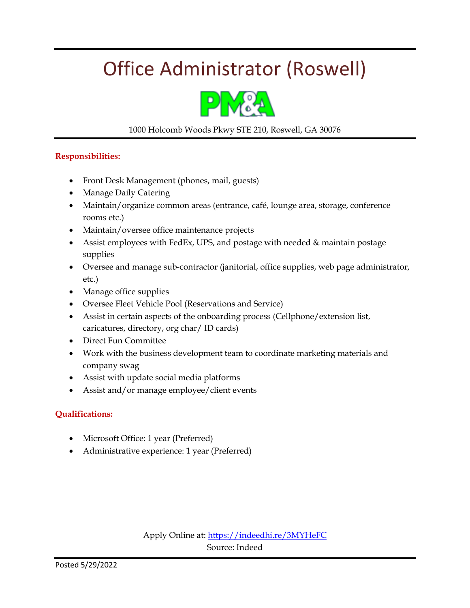## Office Administrator (Roswell)



### 1000 Holcomb Woods Pkwy STE 210, Roswell, GA 30076

#### **Responsibilities:**

- Front Desk Management (phones, mail, guests)
- Manage Daily Catering
- Maintain/organize common areas (entrance, café, lounge area, storage, conference rooms etc.)
- Maintain/oversee office maintenance projects
- Assist employees with FedEx, UPS, and postage with needed & maintain postage supplies
- Oversee and manage sub-contractor (janitorial, office supplies, web page administrator, etc.)
- Manage office supplies
- Oversee Fleet Vehicle Pool (Reservations and Service)
- Assist in certain aspects of the onboarding process (Cellphone/extension list, caricatures, directory, org char/ ID cards)
- Direct Fun Committee
- Work with the business development team to coordinate marketing materials and company swag
- Assist with update social media platforms
- Assist and/or manage employee/client events

### **Qualifications:**

- Microsoft Office: 1 year (Preferred)
- Administrative experience: 1 year (Preferred)

Apply Online at:<https://indeedhi.re/3MYHeFC> Source: Indeed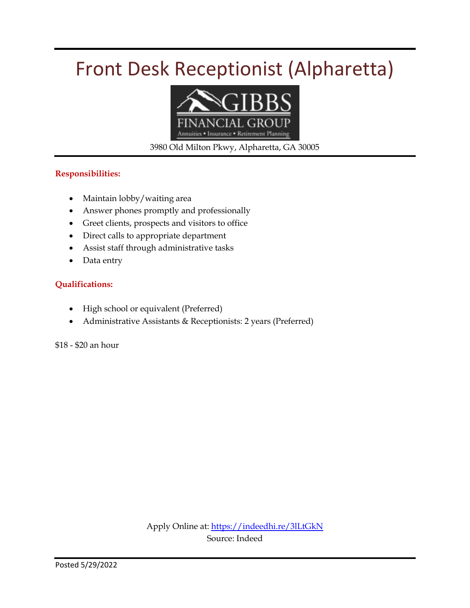## Front Desk Receptionist (Alpharetta)



3980 Old Milton Pkwy, Alpharetta, GA 30005

### **Responsibilities:**

- Maintain lobby/waiting area
- Answer phones promptly and professionally
- Greet clients, prospects and visitors to office
- Direct calls to appropriate department
- Assist staff through administrative tasks
- Data entry

### **Qualifications:**

- High school or equivalent (Preferred)
- Administrative Assistants & Receptionists: 2 years (Preferred)

\$18 - \$20 an hour

Apply Online at:<https://indeedhi.re/3lLtGkN> Source: Indeed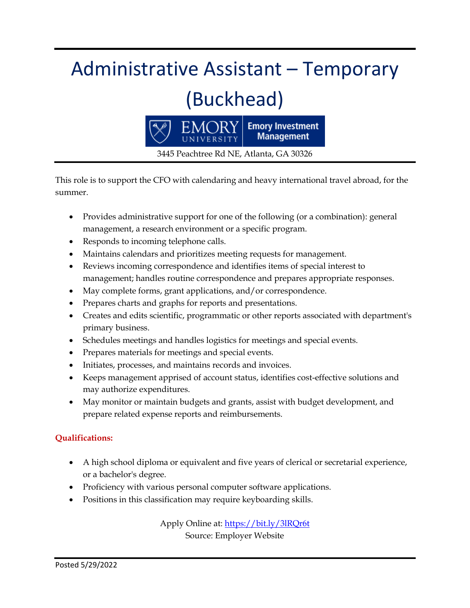## Administrative Assistant – Temporary (Buckhead)



3445 Peachtree Rd NE, Atlanta, GA 30326

This role is to support the CFO with calendaring and heavy international travel abroad, for the summer.

- Provides administrative support for one of the following (or a combination): general management, a research environment or a specific program.
- Responds to incoming telephone calls.
- Maintains calendars and prioritizes meeting requests for management.
- Reviews incoming correspondence and identifies items of special interest to management; handles routine correspondence and prepares appropriate responses.
- May complete forms, grant applications, and/or correspondence.
- Prepares charts and graphs for reports and presentations.
- Creates and edits scientific, programmatic or other reports associated with department's primary business.
- Schedules meetings and handles logistics for meetings and special events.
- Prepares materials for meetings and special events.
- Initiates, processes, and maintains records and invoices.
- Keeps management apprised of account status, identifies cost-effective solutions and may authorize expenditures.
- May monitor or maintain budgets and grants, assist with budget development, and prepare related expense reports and reimbursements.

### **Qualifications:**

- A high school diploma or equivalent and five years of clerical or secretarial experience, or a bachelor's degree.
- Proficiency with various personal computer software applications.
- Positions in this classification may require keyboarding skills.

Apply Online at:<https://bit.ly/3lRQr6t> Source: Employer Website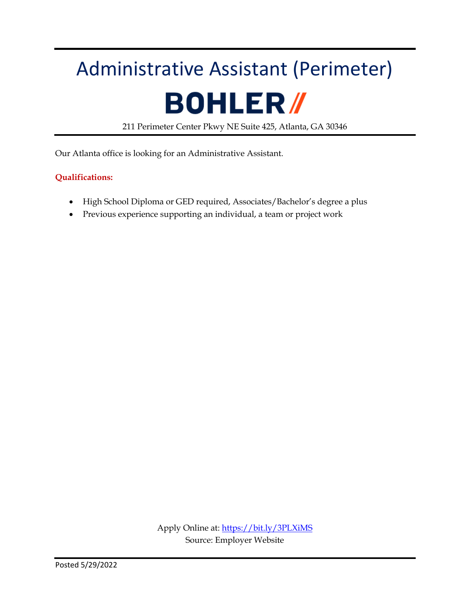# Administrative Assistant (Perimeter) **BOHLER/**

211 Perimeter Center Pkwy NE Suite 425, Atlanta, GA 30346

Our Atlanta office is looking for an Administrative Assistant.

### **Qualifications:**

- High School Diploma or GED required, Associates/Bachelor's degree a plus
- Previous experience supporting an individual, a team or project work

Apply Online at:<https://bit.ly/3PLXiMS> Source: Employer Website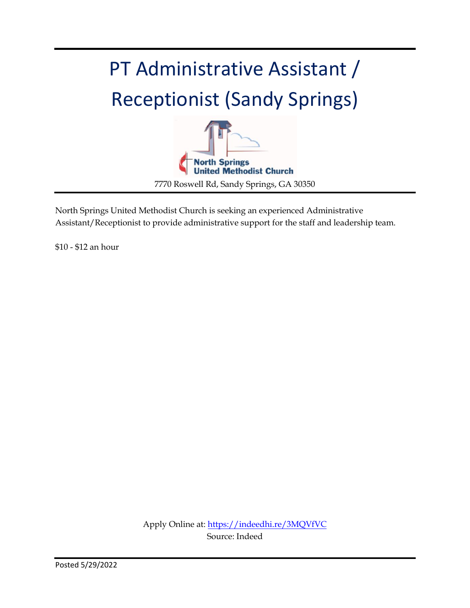## PT Administrative Assistant / Receptionist (Sandy Springs)



North Springs United Methodist Church is seeking an experienced Administrative Assistant/Receptionist to provide administrative support for the staff and leadership team.

\$10 - \$12 an hour

Apply Online at:<https://indeedhi.re/3MQVfVC> Source: Indeed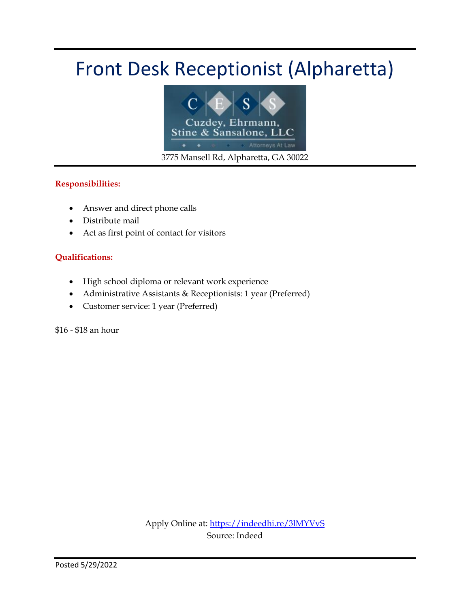## Front Desk Receptionist (Alpharetta)



### **Responsibilities:**

- Answer and direct phone calls
- Distribute mail
- Act as first point of contact for visitors

### **Qualifications:**

- High school diploma or relevant work experience
- Administrative Assistants & Receptionists: 1 year (Preferred)
- Customer service: 1 year (Preferred)

\$16 - \$18 an hour

Apply Online at:<https://indeedhi.re/3lMYVvS> Source: Indeed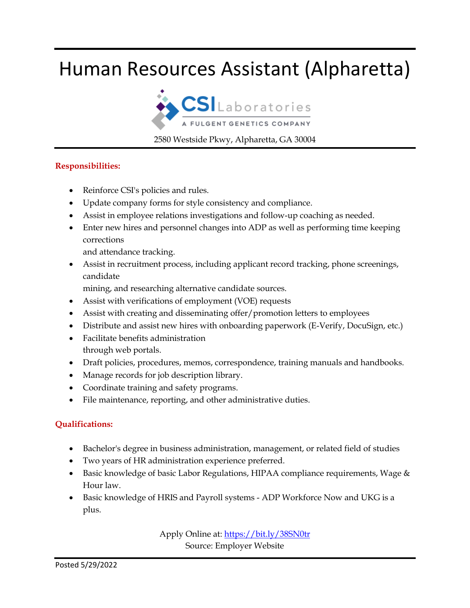### Human Resources Assistant (Alpharetta)



2580 Westside Pkwy, Alpharetta, GA 30004

### **Responsibilities:**

- Reinforce CSI's policies and rules.
- Update company forms for style consistency and compliance.
- Assist in employee relations investigations and follow-up coaching as needed.
- Enter new hires and personnel changes into ADP as well as performing time keeping corrections

and attendance tracking.

 Assist in recruitment process, including applicant record tracking, phone screenings, candidate

mining, and researching alternative candidate sources.

- Assist with verifications of employment (VOE) requests
- Assist with creating and disseminating offer/promotion letters to employees
- Distribute and assist new hires with onboarding paperwork (E-Verify, DocuSign, etc.)
- Facilitate benefits administration through web portals.
- Draft policies, procedures, memos, correspondence, training manuals and handbooks.
- Manage records for job description library.
- Coordinate training and safety programs.
- File maintenance, reporting, and other administrative duties.

### **Qualifications:**

- Bachelor's degree in business administration, management, or related field of studies
- Two years of HR administration experience preferred.
- **Basic knowledge of basic Labor Regulations, HIPAA compliance requirements, Wage**  $\&$ Hour law.
- Basic knowledge of HRIS and Payroll systems ADP Workforce Now and UKG is a plus.

Apply Online at:<https://bit.ly/38SN0tr> Source: Employer Website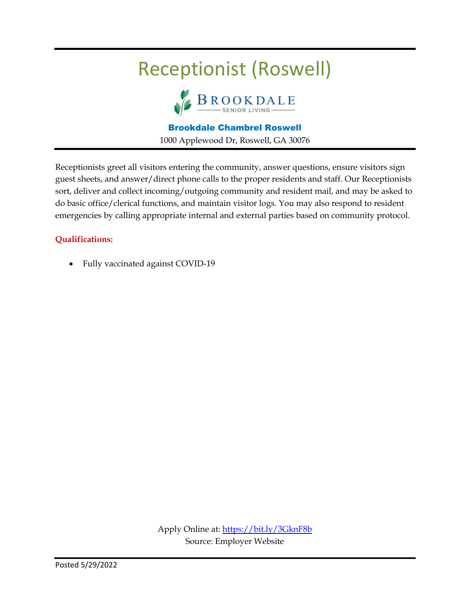## Receptionist (Roswell)



Brookdale Chambrel Roswell 1000 Applewood Dr, Roswell, GA 30076

Receptionists greet all visitors entering the community, answer questions, ensure visitors sign guest sheets, and answer/direct phone calls to the proper residents and staff. Our Receptionists sort, deliver and collect incoming/outgoing community and resident mail, and may be asked to do basic office/clerical functions, and maintain visitor logs. You may also respond to resident emergencies by calling appropriate internal and external parties based on community protocol.

### **Qualifications:**

Fully vaccinated against COVID-19

Apply Online at:<https://bit.ly/3GknF8b> Source: Employer Website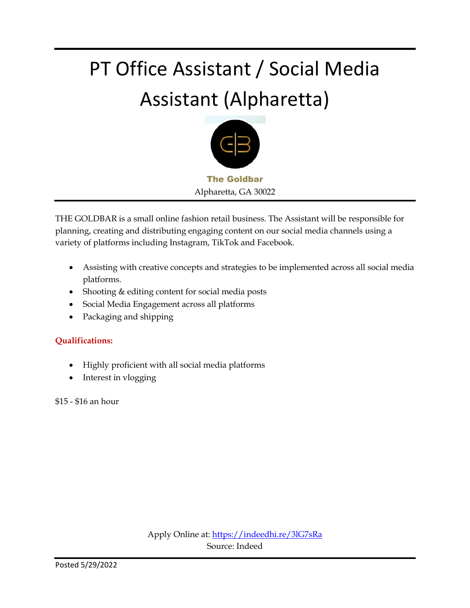## PT Office Assistant / Social Media Assistant (Alpharetta)



THE GOLDBAR is a small online fashion retail business. The Assistant will be responsible for planning, creating and distributing engaging content on our social media channels using a variety of platforms including Instagram, TikTok and Facebook.

- Assisting with creative concepts and strategies to be implemented across all social media platforms.
- Shooting & editing content for social media posts
- Social Media Engagement across all platforms
- Packaging and shipping

### **Qualifications:**

- Highly proficient with all social media platforms
- Interest in vlogging

\$15 - \$16 an hour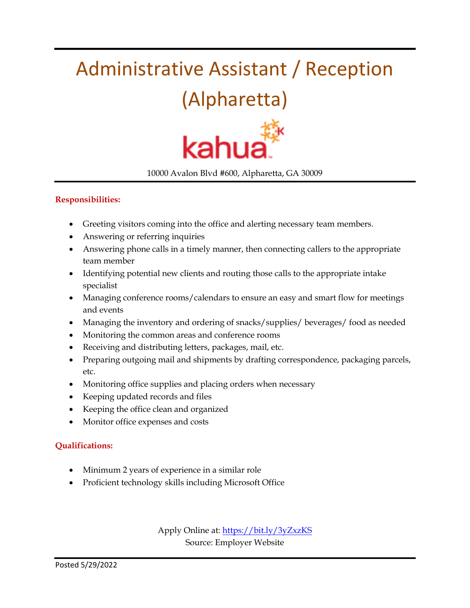## Administrative Assistant / Reception



10000 Avalon Blvd #600, Alpharetta, GA 30009

### **Responsibilities:**

- Greeting visitors coming into the office and alerting necessary team members.
- Answering or referring inquiries
- Answering phone calls in a timely manner, then connecting callers to the appropriate team member
- Identifying potential new clients and routing those calls to the appropriate intake specialist
- Managing conference rooms/calendars to ensure an easy and smart flow for meetings and events
- Managing the inventory and ordering of snacks/supplies/ beverages/ food as needed
- Monitoring the common areas and conference rooms
- Receiving and distributing letters, packages, mail, etc.
- Preparing outgoing mail and shipments by drafting correspondence, packaging parcels, etc.
- Monitoring office supplies and placing orders when necessary
- Keeping updated records and files
- Keeping the office clean and organized
- Monitor office expenses and costs

### **Qualifications:**

- Minimum 2 years of experience in a similar role
- Proficient technology skills including Microsoft Office

Apply Online at:<https://bit.ly/3yZxzKS> Source: Employer Website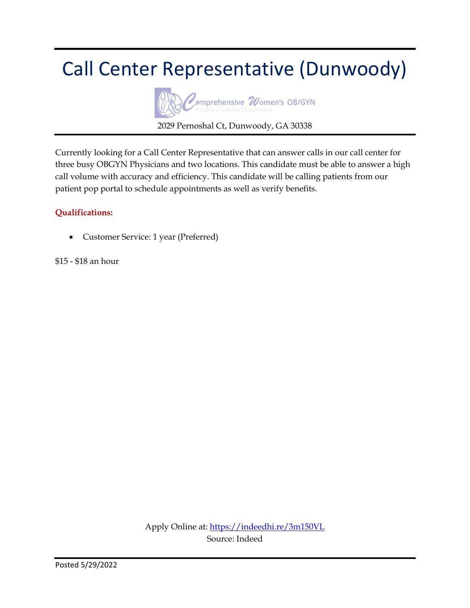### Call Center Representative (Dunwoody)



Currently looking for a Call Center Representative that can answer calls in our call center for three busy OBGYN Physicians and two locations. This candidate must be able to answer a high call volume with accuracy and efficiency. This candidate will be calling patients from our patient pop portal to schedule appointments as well as verify benefits.

### **Qualifications:**

Customer Service: 1 year (Preferred)

\$15 - \$18 an hour

Apply Online at:<https://indeedhi.re/3m150VL> Source: Indeed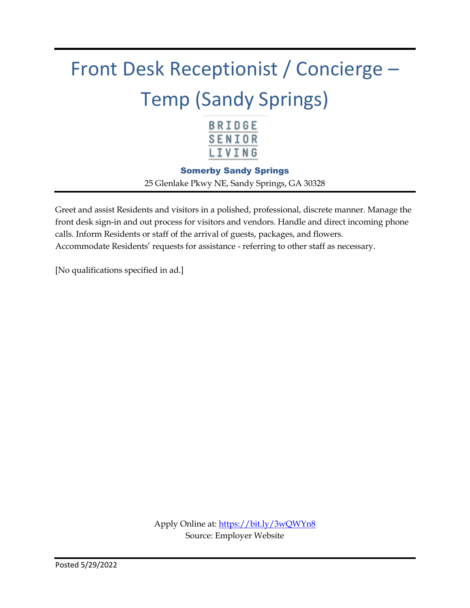## Front Desk Receptionist / Concierge – Temp (Sandy Springs)



Somerby Sandy Springs

25 Glenlake Pkwy NE, Sandy Springs, GA 30328

Greet and assist Residents and visitors in a polished, professional, discrete manner. Manage the front desk sign-in and out process for visitors and vendors. Handle and direct incoming phone calls. Inform Residents or staff of the arrival of guests, packages, and flowers. Accommodate Residents' requests for assistance - referring to other staff as necessary.

[No qualifications specified in ad.]

Apply Online at:<https://bit.ly/3wQWYn8> Source: Employer Website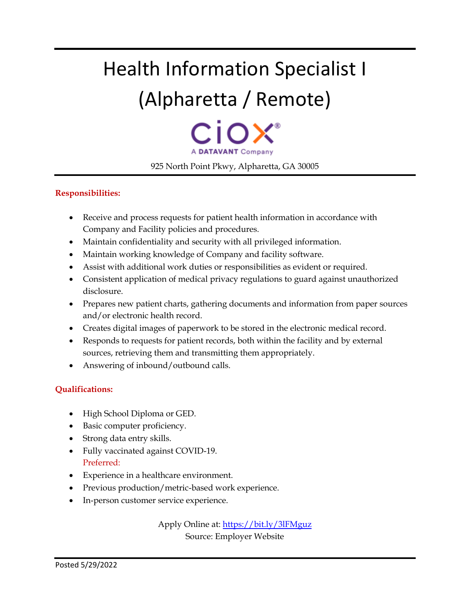## Health Information Specialist I (Alpharetta / Remote)

A DATAVANT Company 925 North Point Pkwy, Alpharetta, GA 30005

### **Responsibilities:**

- Receive and process requests for patient health information in accordance with Company and Facility policies and procedures.
- Maintain confidentiality and security with all privileged information.
- Maintain working knowledge of Company and facility software.
- Assist with additional work duties or responsibilities as evident or required.
- Consistent application of medical privacy regulations to guard against unauthorized disclosure.
- Prepares new patient charts, gathering documents and information from paper sources and/or electronic health record.
- Creates digital images of paperwork to be stored in the electronic medical record.
- Responds to requests for patient records, both within the facility and by external sources, retrieving them and transmitting them appropriately.
- Answering of inbound/outbound calls.

### **Qualifications:**

- High School Diploma or GED.
- Basic computer proficiency.
- Strong data entry skills.
- Fully vaccinated against COVID-19. Preferred:
- Experience in a healthcare environment.
- Previous production/metric-based work experience.
- In-person customer service experience.

Apply Online at:<https://bit.ly/3lFMguz> Source: Employer Website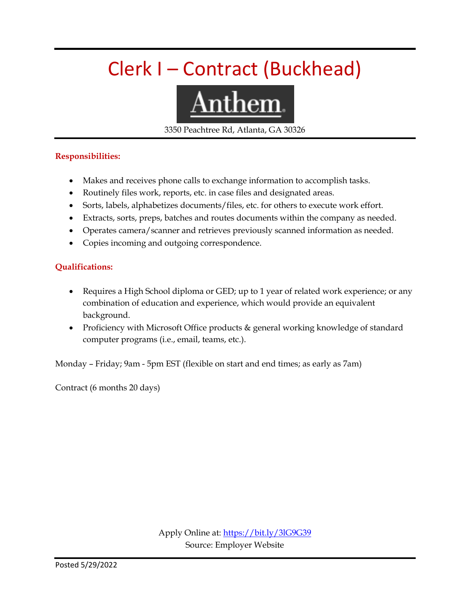## Clerk I – Contract (Buckhead)



3350 Peachtree Rd, Atlanta, GA 30326

#### **Responsibilities:**

- Makes and receives phone calls to exchange information to accomplish tasks.
- Routinely files work, reports, etc. in case files and designated areas.
- Sorts, labels, alphabetizes documents/files, etc. for others to execute work effort.
- Extracts, sorts, preps, batches and routes documents within the company as needed.
- Operates camera/scanner and retrieves previously scanned information as needed.
- Copies incoming and outgoing correspondence.

### **Qualifications:**

- Requires a High School diploma or GED; up to 1 year of related work experience; or any combination of education and experience, which would provide an equivalent background.
- Proficiency with Microsoft Office products & general working knowledge of standard computer programs (i.e., email, teams, etc.).

Monday – Friday; 9am - 5pm EST (flexible on start and end times; as early as 7am)

Contract (6 months 20 days)

Apply Online at:<https://bit.ly/3lG9G39> Source: Employer Website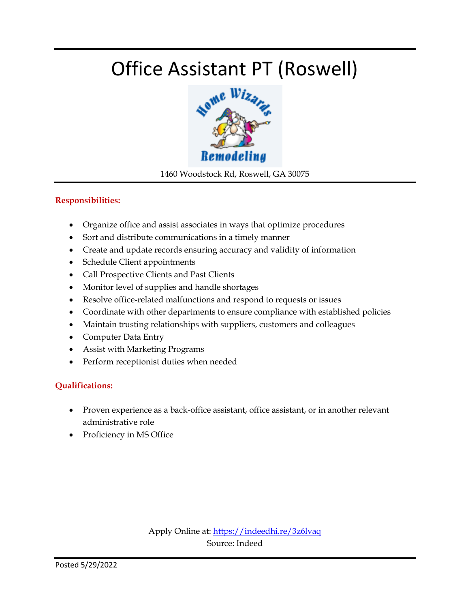## Office Assistant PT (Roswell)



1460 Woodstock Rd, Roswell, GA 30075

### **Responsibilities:**

- Organize office and assist associates in ways that optimize procedures
- Sort and distribute communications in a timely manner
- Create and update records ensuring accuracy and validity of information
- Schedule Client appointments
- Call Prospective Clients and Past Clients
- Monitor level of supplies and handle shortages
- Resolve office-related malfunctions and respond to requests or issues
- Coordinate with other departments to ensure compliance with established policies
- Maintain trusting relationships with suppliers, customers and colleagues
- Computer Data Entry
- Assist with Marketing Programs
- Perform receptionist duties when needed

### **Qualifications:**

- Proven experience as a back-office assistant, office assistant, or in another relevant administrative role
- Proficiency in MS Office

Apply Online at:<https://indeedhi.re/3z6lvaq> Source: Indeed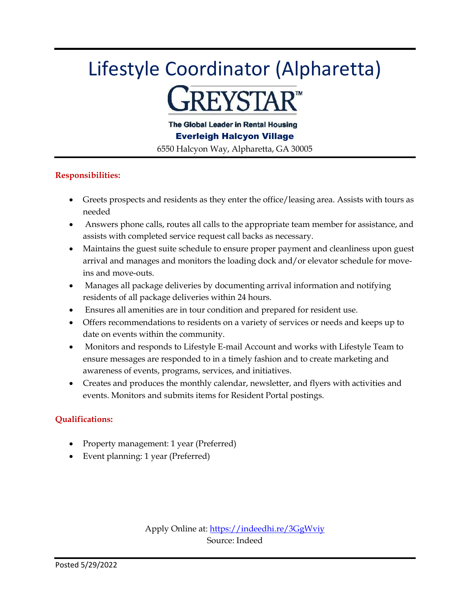## Lifestyle Coordinator (Alpharetta) **REYSTAR™**

The Global Leader in Rental Housing

Everleigh Halcyon Village

6550 Halcyon Way, Alpharetta, GA 30005

### **Responsibilities:**

- Greets prospects and residents as they enter the office/leasing area. Assists with tours as needed
- Answers phone calls, routes all calls to the appropriate team member for assistance, and assists with completed service request call backs as necessary.
- Maintains the guest suite schedule to ensure proper payment and cleanliness upon guest arrival and manages and monitors the loading dock and/or elevator schedule for moveins and move-outs.
- Manages all package deliveries by documenting arrival information and notifying residents of all package deliveries within 24 hours.
- Ensures all amenities are in tour condition and prepared for resident use.
- Offers recommendations to residents on a variety of services or needs and keeps up to date on events within the community.
- Monitors and responds to Lifestyle E-mail Account and works with Lifestyle Team to ensure messages are responded to in a timely fashion and to create marketing and awareness of events, programs, services, and initiatives.
- Creates and produces the monthly calendar, newsletter, and flyers with activities and events. Monitors and submits items for Resident Portal postings.

### **Qualifications:**

- Property management: 1 year (Preferred)
- Event planning: 1 year (Preferred)

Apply Online at:<https://indeedhi.re/3GgWviy> Source: Indeed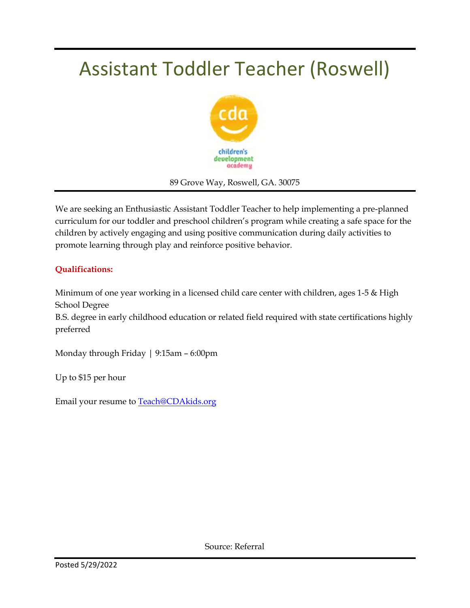## Assistant Toddler Teacher (Roswell)



89 Grove Way, Roswell, GA. 30075

We are seeking an Enthusiastic Assistant Toddler Teacher to help implementing a pre-planned curriculum for our toddler and preschool children's program while creating a safe space for the children by actively engaging and using positive communication during daily activities to promote learning through play and reinforce positive behavior.

### **Qualifications:**

Minimum of one year working in a licensed child care center with children, ages 1-5 & High School Degree

B.S. degree in early childhood education or related field required with state certifications highly preferred

Monday through Friday | 9:15am – 6:00pm

Up to \$15 per hour

Email your resume to [Teach@CDAkids.org](mailto:Teach@CDAkids.org)

Source: Referral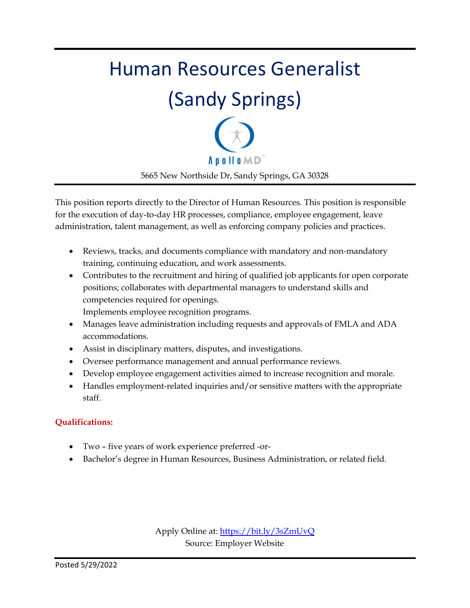## Human Resources Generalist (Sandy Springs) **Apollo**MD 5665 New Northside Dr, Sandy Springs, GA 30328

This position reports directly to the Director of Human Resources. This position is responsible for the execution of day-to-day HR processes, compliance, employee engagement, leave administration, talent management, as well as enforcing company policies and practices.

- Reviews, tracks, and documents compliance with mandatory and non-mandatory training, continuing education, and work assessments.
- Contributes to the recruitment and hiring of qualified job applicants for open corporate positions; collaborates with departmental managers to understand skills and competencies required for openings.

Implements employee recognition programs.

- Manages leave administration including requests and approvals of FMLA and ADA accommodations.
- Assist in disciplinary matters, disputes, and investigations.
- Oversee performance management and annual performance reviews.
- Develop employee engagement activities aimed to increase recognition and morale.
- Handles employment-related inquiries and/or sensitive matters with the appropriate staff.

### **Qualifications:**

- Two five years of work experience preferred -or-
- Bachelor's degree in Human Resources, Business Administration, or related field.

Apply Online at:<https://bit.ly/3sZmUvQ> Source: Employer Website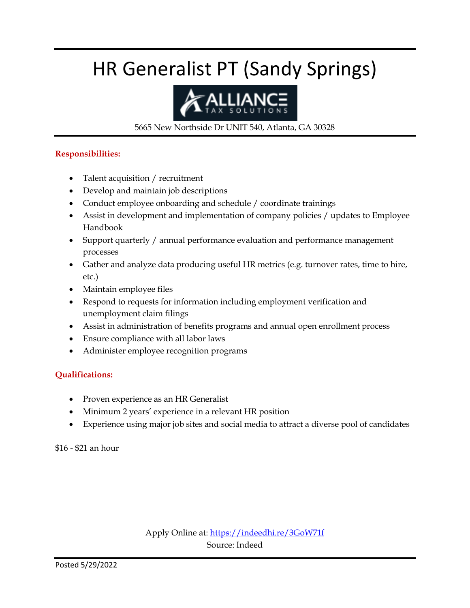## HR Generalist PT (Sandy Springs)



5665 New Northside Dr UNIT 540, Atlanta, GA 30328

#### **Responsibilities:**

- Talent acquisition / recruitment
- Develop and maintain job descriptions
- Conduct employee onboarding and schedule / coordinate trainings
- Assist in development and implementation of company policies / updates to Employee Handbook
- Support quarterly / annual performance evaluation and performance management processes
- Gather and analyze data producing useful HR metrics (e.g. turnover rates, time to hire, etc.)
- Maintain employee files
- Respond to requests for information including employment verification and unemployment claim filings
- Assist in administration of benefits programs and annual open enrollment process
- Ensure compliance with all labor laws
- Administer employee recognition programs

### **Qualifications:**

- Proven experience as an HR Generalist
- Minimum 2 years' experience in a relevant HR position
- Experience using major job sites and social media to attract a diverse pool of candidates

\$16 - \$21 an hour

Apply Online at:<https://indeedhi.re/3GoW71f> Source: Indeed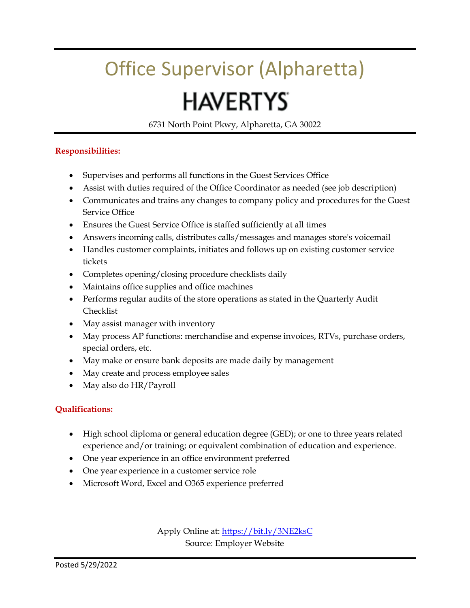## Office Supervisor (Alpharetta)

## **HAVERTYS**

6731 North Point Pkwy, Alpharetta, GA 30022

### **Responsibilities:**

- Supervises and performs all functions in the Guest Services Office
- Assist with duties required of the Office Coordinator as needed (see job description)
- Communicates and trains any changes to company policy and procedures for the Guest Service Office
- Ensures the Guest Service Office is staffed sufficiently at all times
- Answers incoming calls, distributes calls/messages and manages store's voicemail
- Handles customer complaints, initiates and follows up on existing customer service tickets
- Completes opening/closing procedure checklists daily
- Maintains office supplies and office machines
- Performs regular audits of the store operations as stated in the Quarterly Audit Checklist
- May assist manager with inventory
- May process AP functions: merchandise and expense invoices, RTVs, purchase orders, special orders, etc.
- May make or ensure bank deposits are made daily by management
- May create and process employee sales
- May also do HR/Payroll

### **Qualifications:**

- High school diploma or general education degree (GED); or one to three years related experience and/or training; or equivalent combination of education and experience.
- One year experience in an office environment preferred
- One year experience in a customer service role
- Microsoft Word, Excel and O365 experience preferred

Apply Online at:<https://bit.ly/3NE2ksC> Source: Employer Website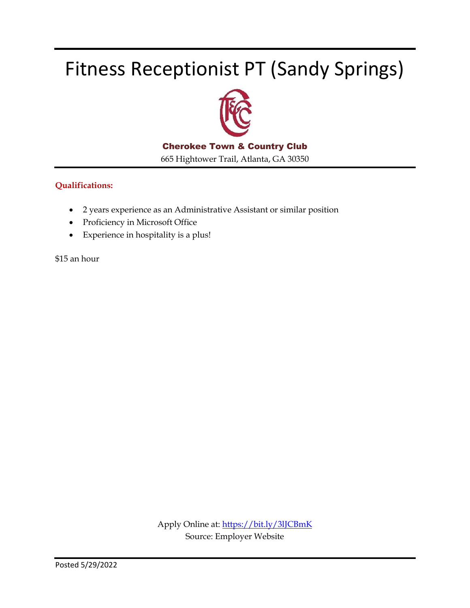## Fitness Receptionist PT (Sandy Springs)



Cherokee Town & Country Club

665 Hightower Trail, Atlanta, GA 30350

#### **Qualifications:**

- 2 years experience as an Administrative Assistant or similar position
- Proficiency in Microsoft Office
- Experience in hospitality is a plus!

\$15 an hour

Apply Online at:<https://bit.ly/3lJCBmK> Source: Employer Website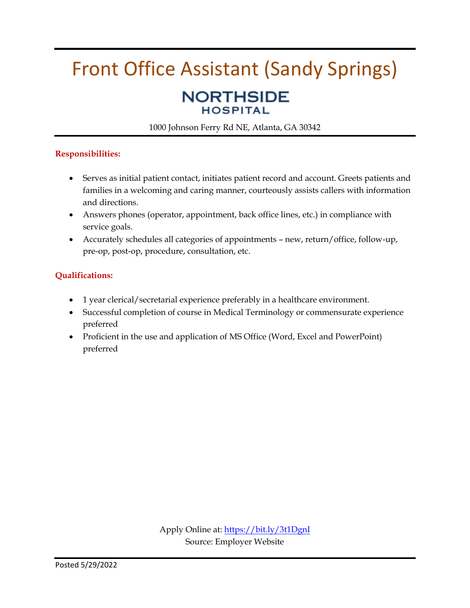### Front Office Assistant (Sandy Springs) **NORTHSIDE HOSPITAL**

1000 Johnson Ferry Rd NE, Atlanta, GA 30342

### **Responsibilities:**

- Serves as initial patient contact, initiates patient record and account. Greets patients and families in a welcoming and caring manner, courteously assists callers with information and directions.
- Answers phones (operator, appointment, back office lines, etc.) in compliance with service goals.
- Accurately schedules all categories of appointments new, return/office, follow-up, pre-op, post-op, procedure, consultation, etc.

### **Qualifications:**

- 1 year clerical/secretarial experience preferably in a healthcare environment.
- Successful completion of course in Medical Terminology or commensurate experience preferred
- Proficient in the use and application of MS Office (Word, Excel and PowerPoint) preferred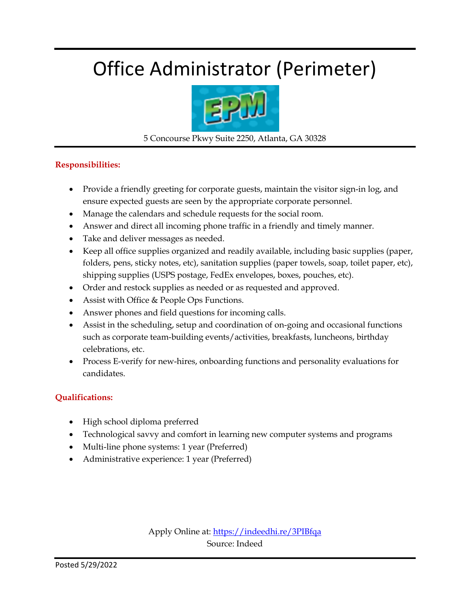## Office Administrator (Perimeter)



5 Concourse Pkwy Suite 2250, Atlanta, GA 30328

### **Responsibilities:**

- Provide a friendly greeting for corporate guests, maintain the visitor sign-in log, and ensure expected guests are seen by the appropriate corporate personnel.
- Manage the calendars and schedule requests for the social room.
- Answer and direct all incoming phone traffic in a friendly and timely manner.
- Take and deliver messages as needed.
- Keep all office supplies organized and readily available, including basic supplies (paper, folders, pens, sticky notes, etc), sanitation supplies (paper towels, soap, toilet paper, etc), shipping supplies (USPS postage, FedEx envelopes, boxes, pouches, etc).
- Order and restock supplies as needed or as requested and approved.
- Assist with Office & People Ops Functions.
- Answer phones and field questions for incoming calls.
- Assist in the scheduling, setup and coordination of on-going and occasional functions such as corporate team-building events/activities, breakfasts, luncheons, birthday celebrations, etc.
- Process E-verify for new-hires, onboarding functions and personality evaluations for candidates.

### **Qualifications:**

- High school diploma preferred
- Technological savvy and comfort in learning new computer systems and programs
- Multi-line phone systems: 1 year (Preferred)
- Administrative experience: 1 year (Preferred)

Apply Online at[: https://indeedhi.re/3PIBfqa](https://indeedhi.re/3PIBfqa) Source: Indeed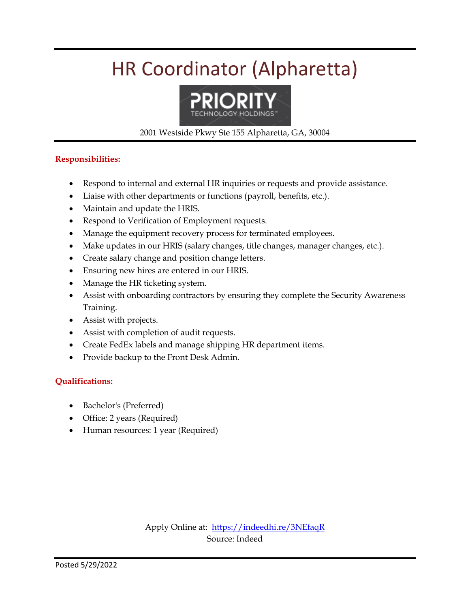## HR Coordinator (Alpharetta)



#### 2001 Westside Pkwy Ste 155 Alpharetta, GA, 30004

### **Responsibilities:**

- Respond to internal and external HR inquiries or requests and provide assistance.
- Liaise with other departments or functions (payroll, benefits, etc.).
- Maintain and update the HRIS.
- Respond to Verification of Employment requests.
- Manage the equipment recovery process for terminated employees.
- Make updates in our HRIS (salary changes, title changes, manager changes, etc.).
- Create salary change and position change letters.
- Ensuring new hires are entered in our HRIS.
- Manage the HR ticketing system.
- Assist with onboarding contractors by ensuring they complete the Security Awareness Training.
- Assist with projects.
- Assist with completion of audit requests.
- Create FedEx labels and manage shipping HR department items.
- Provide backup to the Front Desk Admin.

#### **Qualifications:**

- Bachelor's (Preferred)
- Office: 2 years (Required)
- Human resources: 1 year (Required)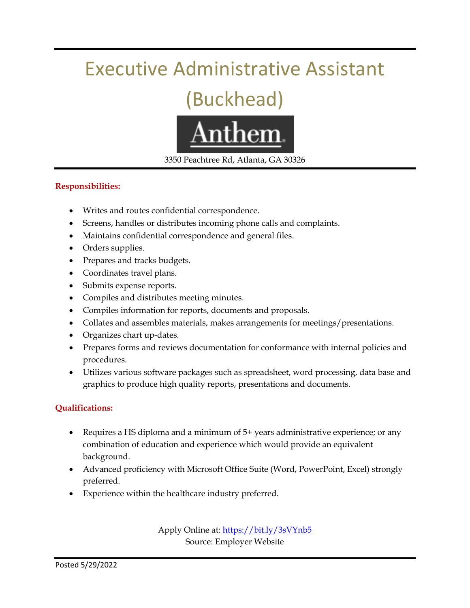### Executive Administrative Assistant

## (Buckhead)



3350 Peachtree Rd, Atlanta, GA 30326

### **Responsibilities:**

- Writes and routes confidential correspondence.
- Screens, handles or distributes incoming phone calls and complaints.
- Maintains confidential correspondence and general files.
- Orders supplies.
- Prepares and tracks budgets.
- Coordinates travel plans.
- Submits expense reports.
- Compiles and distributes meeting minutes.
- Compiles information for reports, documents and proposals.
- Collates and assembles materials, makes arrangements for meetings/presentations.
- Organizes chart up-dates.
- Prepares forms and reviews documentation for conformance with internal policies and procedures.
- Utilizes various software packages such as spreadsheet, word processing, data base and graphics to produce high quality reports, presentations and documents.

### **Qualifications:**

- Requires a HS diploma and a minimum of 5+ years administrative experience; or any combination of education and experience which would provide an equivalent background.
- Advanced proficiency with Microsoft Office Suite (Word, PowerPoint, Excel) strongly preferred.
- Experience within the healthcare industry preferred.

Apply Online at:<https://bit.ly/3sVYnb5> Source: Employer Website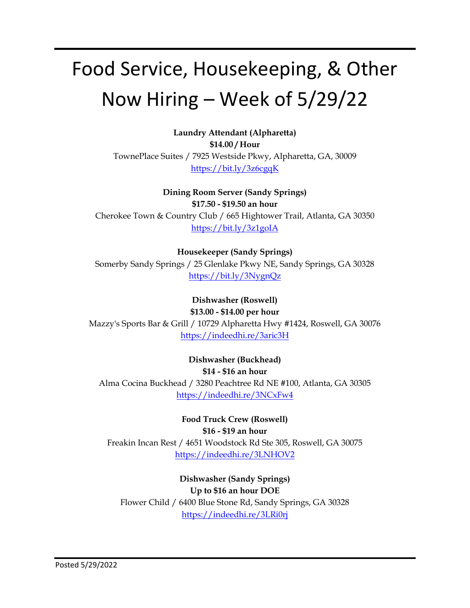## Food Service, Housekeeping, & Other Now Hiring – Week of 5/29/22

**Laundry Attendant (Alpharetta) \$14.00 / Hour** TownePlace Suites / 7925 Westside Pkwy, Alpharetta, GA, 30009 <https://bit.ly/3z6cgqK>

**Dining Room Server (Sandy Springs) \$17.50 - \$19.50 an hour** Cherokee Town & Country Club / 665 Hightower Trail, Atlanta, GA 30350 <https://bit.ly/3z1goIA>

**Housekeeper (Sandy Springs)** Somerby Sandy Springs / 25 Glenlake Pkwy NE, Sandy Springs, GA 30328 <https://bit.ly/3NygnQz>

**Dishwasher (Roswell) \$13.00 - \$14.00 per hour** Mazzy's Sports Bar & Grill / 10729 Alpharetta Hwy #1424, Roswell, GA 30076 <https://indeedhi.re/3aric3H>

**Dishwasher (Buckhead) \$14 - \$16 an hour** Alma Cocina Buckhead / 3280 Peachtree Rd NE #100, Atlanta, GA 30305 <https://indeedhi.re/3NCxFw4>

**Food Truck Crew (Roswell) \$16 - \$19 an hour** Freakin Incan Rest / 4651 Woodstock Rd Ste 305, Roswell, GA 30075 <https://indeedhi.re/3LNHOV2>

**Dishwasher (Sandy Springs) Up to \$16 an hour DOE** Flower Child / 6400 Blue Stone Rd, Sandy Springs, GA 30328 <https://indeedhi.re/3LRi0rj>